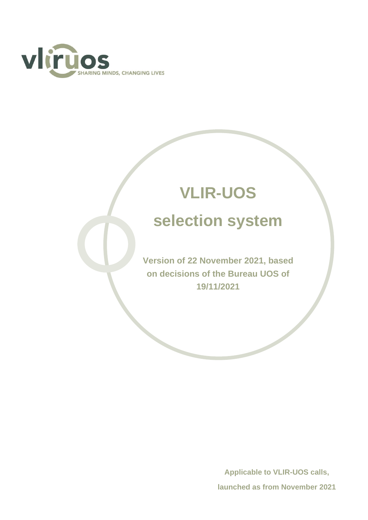

# **VLIR-UOS selection system**

**Version of 22 November 2021, based on decisions of the Bureau UOS of 19/11/2021**

> **Applicable to VLIR-UOS calls, launched as from November 2021**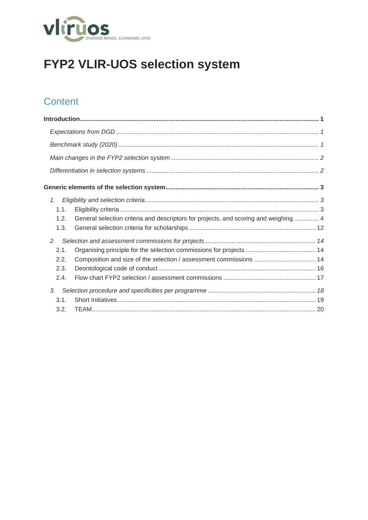

## FYP2 VLIR-UOS selection system

## Content

| 1.   |                                                                                     |  |
|------|-------------------------------------------------------------------------------------|--|
| 1.1. |                                                                                     |  |
| 1.2. | General selection criteria and descriptors for projects, and scoring and weighing 4 |  |
| 1.3. |                                                                                     |  |
| 2.   |                                                                                     |  |
| 2.1. |                                                                                     |  |
| 2.2. |                                                                                     |  |
| 2.3. |                                                                                     |  |
| 2.4. |                                                                                     |  |
| 3.   |                                                                                     |  |
| 3.1. |                                                                                     |  |
| 3.2. |                                                                                     |  |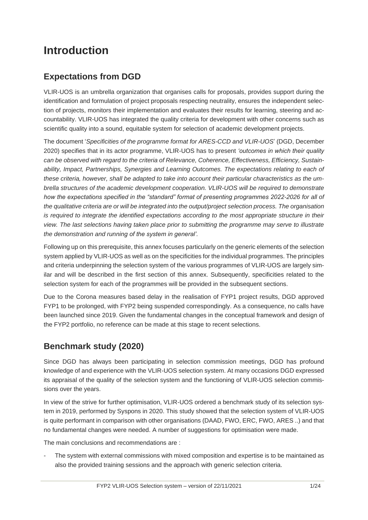## <span id="page-2-0"></span>**Introduction**

## <span id="page-2-1"></span>**Expectations from DGD**

VLIR-UOS is an umbrella organization that organises calls for proposals, provides support during the identification and formulation of project proposals respecting neutrality, ensures the independent selection of projects, monitors their implementation and evaluates their results for learning, steering and accountability. VLIR-UOS has integrated the quality criteria for development with other concerns such as scientific quality into a sound, equitable system for selection of academic development projects.

The document '*[Specificities of the programme format for ARES-CCD and VLIR-UOS](https://vliruos.sharepoint.com/:b:/r/sites/VPFYPconceptueel/Gedeelde%20documenten/General/7_Actorprogramma%2022-26/01.%20Programmes%202022-2026%20-%20EN%20-%20Spe%CC%81cificite%CC%81s%20format%20ARES-VLhttps:/vliruos.sharepoint.com/:b:/r/sites/VPFYPconceptueel/Gedeelde%20documenten/General/7_Actorprogramma%2022-26/01.%20Programmes%202022-2026%20-%20EN%20-%20Spe%CC%81cificite%CC%81s%20format%20ARES-VLIR_fin.pdf?csf=1&web=1&e=t0RXbVIR_fin.pdf?csf=1&web=1&e=t0RXbV)*' (DGD, December 2020) specifies that in its actor programme, VLIR-UOS has to present *'outcomes in which their quality can be observed with regard to the criteria of Relevance, Coherence, Effectiveness, Efficiency, Sustain*ability, Impact, Partnerships, Synergies and Learning Outcomes. The expectations relating to each of *these criteria, however, shall be adapted to take into account their particular characteristics as the umbrella structures of the academic development cooperation. VLIR-UOS will be required to demonstrate how the expectations specified in the "standard" format of presenting programmes 2022-2026 for all of the qualitative criteria are or will be integrated into the output/project selection process. The organisation is required to integrate the identified expectations according to the most appropriate structure in their view. The last selections having taken place prior to submitting the programme may serve to illustrate the demonstration and running of the system in general'.*

Following up on this prerequisite, this annex focuses particularly on the generic elements of the selection system applied by VLIR-UOS as well as on the specificities for the individual programmes. The principles and criteria underpinning the selection system of the various programmes of VLIR-UOS are largely similar and will be described in the first section of this annex. Subsequently, specificities related to the selection system for each of the programmes will be provided in the subsequent sections.

Due to the Corona measures based delay in the realisation of FYP1 project results, DGD approved FYP1 to be prolonged, with FYP2 being suspended correspondingly. As a consequence, no calls have been launched since 2019. Given the fundamental changes in the conceptual framework and design of the FYP2 portfolio, no reference can be made at this stage to recent selections.

## <span id="page-2-2"></span>**Benchmark study (2020)**

Since DGD has always been participating in selection commission meetings, DGD has profound knowledge of and experience with the VLIR-UOS selection system. At many occasions DGD expressed its appraisal of the quality of the selection system and the functioning of VLIR-UOS selection commissions over the years.

In view of the strive for further optimisation, VLIR-UOS ordered a benchmark study of its selection system in 2019, performed by Syspons in 2020. This study showed that the selection system of VLIR-UOS is quite performant in comparison with other organisations (DAAD, FWO, ERC, FWO, ARES ..) and that no fundamental changes were needed. A number of suggestions for optimisation were made.

The main conclusions and recommendations are :

The system with external commissions with mixed composition and expertise is to be maintained as also the provided training sessions and the approach with generic selection criteria.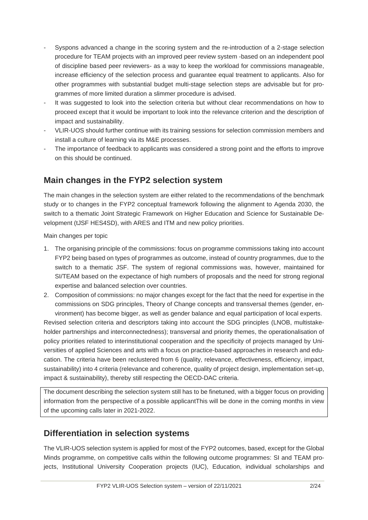- Syspons advanced a change in the scoring system and the re-introduction of a 2-stage selection procedure for TEAM projects with an improved peer review system -based on an independent pool of discipline based peer reviewers- as a way to keep the workload for commissions manageable, increase efficiency of the selection process and guarantee equal treatment to applicants. Also for other programmes with substantial budget multi-stage selection steps are advisable but for programmes of more limited duration a slimmer procedure is advised.
- It was suggested to look into the selection criteria but without clear recommendations on how to proceed except that it would be important to look into the relevance criterion and the description of impact and sustainability.
- VLIR-UOS should further continue with its training sessions for selection commission members and install a culture of learning via its M&E processes.
- The importance of feedback to applicants was considered a strong point and the efforts to improve on this should be continued.

## <span id="page-3-0"></span>**Main changes in the FYP2 selection system**

The main changes in the selection system are either related to the recommendations of the benchmark study or to changes in the FYP2 conceptual framework following the alignment to Agenda 2030, the switch to a thematic Joint Strategic Framework on Higher Education and Science for Sustainable Development (tJSF HES4SD), with ARES and ITM and new policy priorities.

Main changes per topic

- 1. The organising principle of the commissions: focus on programme commissions taking into account FYP2 being based on types of programmes as outcome, instead of country programmes, due to the switch to a thematic JSF. The system of regional commissions was, however, maintained for SI/TEAM based on the expectance of high numbers of proposals and the need for strong regional expertise and balanced selection over countries.
- 2. Composition of commissions: no major changes except for the fact that the need for expertise in the commissions on SDG principles, Theory of Change concepts and transversal themes (gender, environment) has become bigger, as well as gender balance and equal participation of local experts.

Revised selection criteria and descriptors taking into account the SDG principles (LNOB, multistakeholder partnerships and interconnectedness); transversal and priority themes, the operationalisation of policy priorities related to interinstitutional cooperation and the specificity of projects managed by Universities of applied Sciences and arts with a focus on practice-based approaches in research and education. The criteria have been reclustered from 6 (quality, relevance, effectiveness, efficiency, impact, sustainability) into 4 criteria (relevance and coherence, quality of project design, implementation set-up, impact & sustainability), thereby still respecting the OECD-DAC criteria.

The document describing the selection system still has to be finetuned, with a bigger focus on providing information from the perspective of a possible applicantThis will be done in the coming months in view of the upcoming calls later in 2021-2022.

## <span id="page-3-1"></span>**Differentiation in selection systems**

The VLIR-UOS selection system is applied for most of the FYP2 outcomes, based, except for the Global Minds programme, on competitive calls within the following outcome programmes: SI and TEAM projects, Institutional University Cooperation projects (IUC), Education, individual scholarships and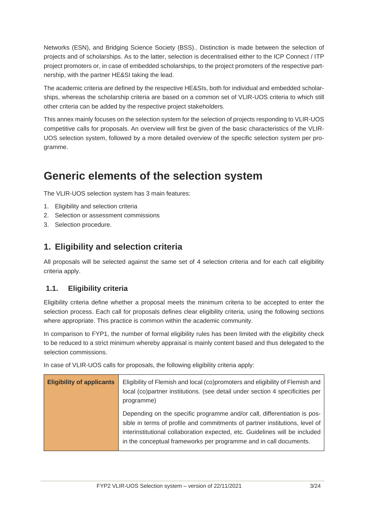Networks (ESN), and Bridging Science Society (BSS).. Distinction is made between the selection of projects and of scholarships. As to the latter, selection is decentralised either to the ICP Connect / ITP project promoters or, in case of embedded scholarships, to the project promoters of the respective partnership, with the partner HE&SI taking the lead.

The academic criteria are defined by the respective HE&SIs, both for individual and embedded scholarships, whereas the scholarship criteria are based on a common set of VLIR-UOS criteria to which still other criteria can be added by the respective project stakeholders.

This annex mainly focuses on the selection system for the selection of projects responding to VLIR-UOS competitive calls for proposals. An overview will first be given of the basic characteristics of the VLIR-UOS selection system, followed by a more detailed overview of the specific selection system per programme.

## <span id="page-4-0"></span>**Generic elements of the selection system**

The VLIR-UOS selection system has 3 main features:

- 1. Eligibility and selection criteria
- 2. Selection or assessment commissions
- <span id="page-4-1"></span>3. Selection procedure.

#### **1. Eligibility and selection criteria**

All proposals will be selected against the same set of 4 selection criteria and for each call eligibility criteria apply.

#### <span id="page-4-2"></span>**1.1. Eligibility criteria**

Eligibility criteria define whether a proposal meets the minimum criteria to be accepted to enter the selection process. Each call for proposals defines clear eligibility criteria, using the following sections where appropriate. This practice is common within the academic community.

In comparison to FYP1, the number of formal eligibility rules has been limited with the eligibility check to be reduced to a strict minimum whereby appraisal is mainly content based and thus delegated to the selection commissions.

In case of VLIR-UOS calls for proposals, the following eligibility criteria apply:

| <b>Eligibility of applicants</b> | Eligibility of Flemish and local (co)promoters and eligibility of Flemish and<br>local (co)partner institutions. (see detail under section 4 specificities per<br>programme)                                                                                                                                |
|----------------------------------|-------------------------------------------------------------------------------------------------------------------------------------------------------------------------------------------------------------------------------------------------------------------------------------------------------------|
|                                  | Depending on the specific programme and/or call, differentiation is pos-<br>sible in terms of profile and commitments of partner institutions, level of<br>interinstitutional collaboration expected, etc. Guidelines will be included<br>in the conceptual frameworks per programme and in call documents. |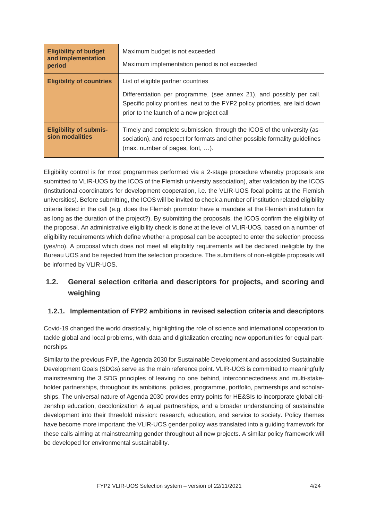| <b>Eligibility of budget</b><br>and implementation<br>period | Maximum budget is not exceeded<br>Maximum implementation period is not exceeded                                                                                                                                                           |  |
|--------------------------------------------------------------|-------------------------------------------------------------------------------------------------------------------------------------------------------------------------------------------------------------------------------------------|--|
| <b>Eligibility of countries</b>                              | List of eligible partner countries<br>Differentiation per programme, (see annex 21), and possibly per call.<br>Specific policy priorities, next to the FYP2 policy priorities, are laid down<br>prior to the launch of a new project call |  |
| <b>Eligibility of submis-</b><br>sion modalities             | Timely and complete submission, through the ICOS of the university (as-<br>sociation), and respect for formats and other possible formality guidelines<br>$(max.$ number of pages, font, $\dots$ ).                                       |  |

Eligibility control is for most programmes performed via a 2-stage procedure whereby proposals are submitted to VLIR-UOS by the ICOS of the Flemish university association), after validation by the ICOS (Institutional coordinators for development cooperation, i.e. the VLIR-UOS focal points at the Flemish universities). Before submitting, the ICOS will be invited to check a number of institution related eligibility criteria listed in the call (e.g. does the Flemish promotor have a mandate at the Flemish institution for as long as the duration of the project?). By submitting the proposals, the ICOS confirm the eligibility of the proposal. An administrative eligibility check is done at the level of VLIR-UOS, based on a number of eligibility requirements which define whether a proposal can be accepted to enter the selection process (yes/no). A proposal which does not meet all eligibility requirements will be declared ineligible by the Bureau UOS and be rejected from the selection procedure. The submitters of non-eligible proposals will be informed by VLIR-UOS.

## <span id="page-5-0"></span>**1.2. General selection criteria and descriptors for projects, and scoring and weighing**

#### **1.2.1. Implementation of FYP2 ambitions in revised selection criteria and descriptors**

Covid-19 changed the world drastically, highlighting the role of science and international cooperation to tackle global and local problems, with data and digitalization creating new opportunities for equal partnerships.

Similar to the previous FYP, the Agenda 2030 for Sustainable Development and associated Sustainable Development Goals (SDGs) serve as the main reference point. VLIR-UOS is committed to meaningfully mainstreaming the 3 SDG principles of leaving no one behind, interconnectedness and multi-stakeholder partnerships, throughout its ambitions, policies, programme, portfolio, partnerships and scholarships. The universal nature of Agenda 2030 provides entry points for HE&SIs to incorporate global citizenship education, decolonization & equal partnerships, and a broader understanding of sustainable development into their threefold mission: research, education, and service to society. Policy themes have become more important: the VLIR-UOS gender policy was translated into a guiding framework for these calls aiming at mainstreaming gender throughout all new projects. A similar policy framework will be developed for environmental sustainability.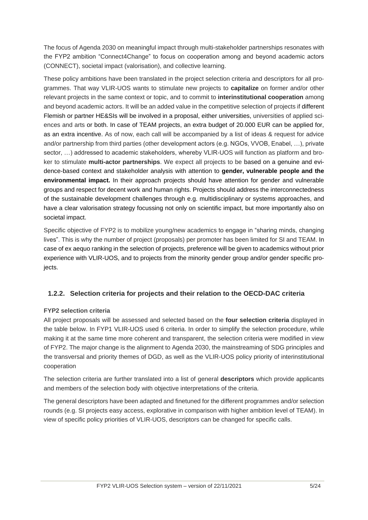The focus of Agenda 2030 on meaningful impact through multi-stakeholder partnerships resonates with the FYP2 ambition "Connect4Change" to focus on cooperation among and beyond academic actors (CONNECT), societal impact (valorisation), and collective learning.

These policy ambitions have been translated in the project selection criteria and descriptors for all programmes. That way VLIR-UOS wants to stimulate new projects to **capitalize** on former and/or other relevant projects in the same context or topic, and to commit to **interinstitutional cooperation** among and beyond academic actors. It will be an added value in the competitive selection of projects if different Flemish or partner HE&SIs will be involved in a proposal, either universities, universities of applied sciences and arts or both. In case of TEAM projects, an extra budget of 20.000 EUR can be applied for, as an extra incentive. As of now, each call will be accompanied by a list of ideas & request for advice and/or partnership from third parties (other development actors (e.g. NGOs, VVOB, Enabel, …), private sector, ...) addressed to academic stakeholders, whereby VLIR-UOS will function as platform and broker to stimulate **multi-actor partnerships**. We expect all projects to be based on a genuine and evidence-based context and stakeholder analysis with attention to **gender, vulnerable people and the environmental impact.** In their approach projects should have attention for gender and vulnerable groups and respect for decent work and human rights. Projects should address the interconnectedness of the sustainable development challenges through e.g. multidisciplinary or systems approaches, and have a clear valorisation strategy focussing not only on scientific impact, but more importantly also on societal impact.

Specific objective of FYP2 is to mobilize young/new academics to engage in "sharing minds, changing lives". This is why the number of project (proposals) per promoter has been limited for SI and TEAM. In case of ex aequo ranking in the selection of projects, preference will be given to academics without prior experience with VLIR-UOS, and to projects from the minority gender group and/or gender specific projects.

#### **1.2.2. Selection criteria for projects and their relation to the OECD-DAC criteria**

#### **FYP2 selection criteria**

All project proposals will be assessed and selected based on the **four selection criteria** displayed in the table below. In FYP1 VLIR-UOS used 6 criteria. In order to simplify the selection procedure, while making it at the same time more coherent and transparent, the selection criteria were modified in view of FYP2. The major change is the alignment to Agenda 2030, the mainstreaming of SDG principles and the transversal and priority themes of DGD, as well as the VLIR-UOS policy priority of interinstitutional cooperation

The selection criteria are further translated into a list of general **descriptors** which provide applicants and members of the selection body with objective interpretations of the criteria.

The general descriptors have been adapted and finetuned for the different programmes and/or selection rounds (e.g. SI projects easy access, explorative in comparison with higher ambition level of TEAM). In view of specific policy priorities of VLIR-UOS, descriptors can be changed for specific calls.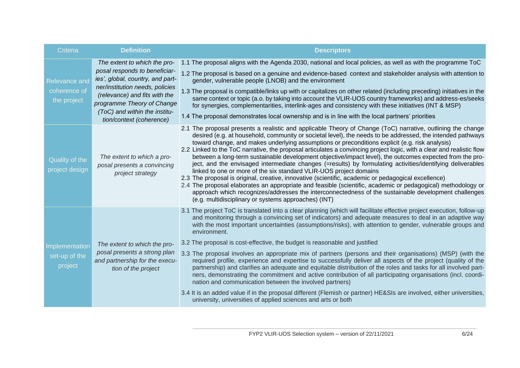| <b>Criteria</b>                                     | <b>Definition</b>                                                                                                                                                                                                                                                | <b>Descriptors</b>                                                                                                                                                                                                                                                                                                                                                                                                                                                                                                                                                                                                                                                                                                                                                                                                                                                                                                                                                                                                                                                                                                                                                 |
|-----------------------------------------------------|------------------------------------------------------------------------------------------------------------------------------------------------------------------------------------------------------------------------------------------------------------------|--------------------------------------------------------------------------------------------------------------------------------------------------------------------------------------------------------------------------------------------------------------------------------------------------------------------------------------------------------------------------------------------------------------------------------------------------------------------------------------------------------------------------------------------------------------------------------------------------------------------------------------------------------------------------------------------------------------------------------------------------------------------------------------------------------------------------------------------------------------------------------------------------------------------------------------------------------------------------------------------------------------------------------------------------------------------------------------------------------------------------------------------------------------------|
| <b>Relevance and</b><br>coherence of<br>the project | The extent to which the pro-<br>posal responds to beneficiar-<br>ies', global, country, and part-<br>ner/institution needs, policies<br>(relevance) and fits with the<br>programme Theory of Change<br>(ToC) and within the institu-<br>tion/context (coherence) | 1.1 The proposal aligns with the Agenda 2030, national and local policies, as well as with the programme ToC<br>1.2 The proposal is based on a genuine and evidence-based context and stakeholder analysis with attention to<br>gender, vulnerable people (LNOB) and the environment<br>1.3 The proposal is compatible/links up with or capitalizes on other related (including preceding) initiatives in the<br>same context or topic (a.o. by taking into account the VLIR-UOS country frameworks) and address-es/seeks<br>for synergies, complementarities, interlink-ages and consistency with these initiatives (INT & MSP)<br>1.4 The proposal demonstrates local ownership and is in line with the local partners' priorities                                                                                                                                                                                                                                                                                                                                                                                                                               |
| Quality of the<br>project design                    | The extent to which a pro-<br>posal presents a convincing<br>project strategy                                                                                                                                                                                    | 2.1 The proposal presents a realistic and applicable Theory of Change (ToC) narrative, outlining the change<br>desired (e.g. at household, community or societal level), the needs to be addressed, the intended pathways<br>toward change, and makes underlying assumptions or preconditions explicit (e.g. risk analysis)<br>2.2 Linked to the ToC narrative, the proposal articulates a convincing project logic, with a clear and realistic flow<br>between a long-term sustainable development objective/impact level), the outcomes expected from the pro-<br>ject, and the envisaged intermediate changes (=results) by formulating activities/identifying deliverables<br>linked to one or more of the six standard VLIR-UOS project domains<br>2.3 The proposal is original, creative, innovative (scientific, academic or pedagogical excellence)<br>2.4 The proposal elaborates an appropriate and feasible (scientific, academic or pedagogical) methodology or<br>approach which recognizes/addresses the interconnectedness of the sustainable development challenges<br>(e.g. multidisciplinary or systems approaches) (INT)                        |
| Implementation<br>set-up of the<br>project          | The extent to which the pro-<br>posal presents a strong plan<br>and partnership for the execu-<br>tion of the project                                                                                                                                            | 3.1 The project ToC is translated into a clear planning (which will facilitate effective project execution, follow-up<br>and monitoring through a convincing set of indicators) and adequate measures to deal in an adaptive way<br>with the most important uncertainties (assumptions/risks), with attention to gender, vulnerable groups and<br>environment.<br>3.2 The proposal is cost-effective, the budget is reasonable and justified<br>3.3 The proposal involves an appropriate mix of partners (persons and their organisations) (MSP) (with the<br>required profile, experience and expertise to successfully deliver all aspects of the project (quality of the<br>partnership) and clarifies an adequate and equitable distribution of the roles and tasks for all involved part-<br>ners, demonstrating the commitment and active contribution of all participating organisations (incl. coordi-<br>nation and communication between the involved partners)<br>3.4 It is an added value if in the proposal different (Flemish or partner) HE&SIs are involved, either universities,<br>university, universities of applied sciences and arts or both |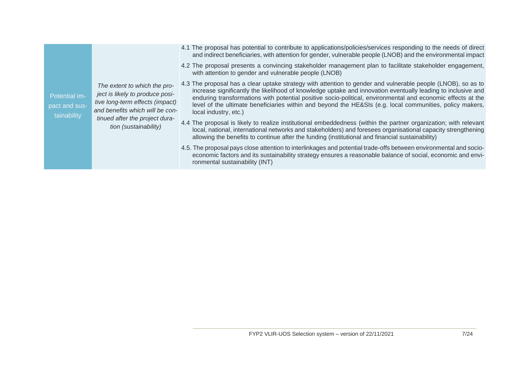Potential impact and sustainability

*The extent to which the project is likely to produce positive long-term effects (impact) and benefits which will be continued after the project duration (sustainability)*

- 4.1 The proposal has potential to contribute to applications/policies/services responding to the needs of direct and indirect beneficiaries, with attention for gender, vulnerable people (LNOB) and the environmental impact
- 4.2 The proposal presents a convincing stakeholder management plan to facilitate stakeholder engagement, with attention to gender and vulnerable people (LNOB)
- 4.3 The proposal has a clear uptake strategy with attention to gender and vulnerable people (LNOB), so as to increase significantly the likelihood of knowledge uptake and innovation eventually leading to inclusive and enduring transformations with potential positive socio-political, environmental and economic effects at the level of the ultimate beneficiaries within and beyond the HE&SIs (e.g. local communities, policy makers, local industry, etc.)
- 4.4 The proposal is likely to realize institutional embeddedness (within the partner organization; with relevant local, national, international networks and stakeholders) and foresees organisational capacity strengthening allowing the benefits to continue after the funding (institutional and financial sustainability)
- 4.5. The proposal pays close attention to interlinkages and potential trade-offs between environmental and socioeconomic factors and its sustainability strategy ensures a reasonable balance of social, economic and environmental sustainability (INT)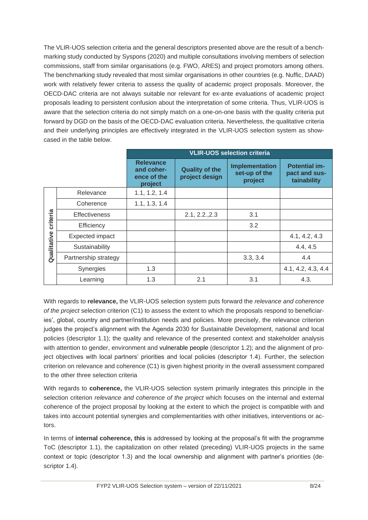The VLIR-UOS selection criteria and the general descriptors presented above are the result of a benchmarking study conducted by Syspons (2020) and multiple consultations involving members of selection commissions, staff from similar organisations (e.g. FWO, ARES) and project promotors among others. The benchmarking study revealed that most similar organisations in other countries (e.g. Nuffic, DAAD) work with relatively fewer criteria to assess the quality of academic project proposals. Moreover, the OECD-DAC criteria are not always suitable nor relevant for ex-ante evaluations of academic project proposals leading to persistent confusion about the interpretation of some criteria. Thus, VLIR-UOS is aware that the selection criteria do not simply match on a one-on-one basis with the quality criteria put forward by DGD on the basis of the OECD-DAC evaluation criteria. Nevertheless, the qualitative criteria and their underlying principles are effectively integrated in the VLIR-UOS selection system as showcased in the table below.

|                         |                      | <b>VLIR-UOS selection criteria</b>                       |                                         |                                            |                                                      |
|-------------------------|----------------------|----------------------------------------------------------|-----------------------------------------|--------------------------------------------|------------------------------------------------------|
|                         |                      | <b>Relevance</b><br>and coher-<br>ence of the<br>project | <b>Quality of the</b><br>project design | Implementation<br>set-up of the<br>project | <b>Potential im-</b><br>pact and sus-<br>tainability |
|                         | Relevance            | 1.1, 1.2, 1.4                                            |                                         |                                            |                                                      |
| criteria<br>Qualitative | Coherence            | 1.1, 1.3, 1.4                                            |                                         |                                            |                                                      |
|                         | <b>Effectiveness</b> |                                                          | 2.1, 2.2, 2.3                           | 3.1                                        |                                                      |
|                         | Efficiency           |                                                          |                                         | 3.2                                        |                                                      |
|                         | Expected impact      |                                                          |                                         |                                            | 4.1, 4.2, 4.3                                        |
|                         | Sustainability       |                                                          |                                         |                                            | 4.4, 4.5                                             |
|                         | Partnership strategy |                                                          |                                         | 3.3, 3.4                                   | 4.4                                                  |
|                         | Synergies            | 1.3                                                      |                                         |                                            | 4.1, 4.2, 4.3, 4.4                                   |
|                         | Learning             | 1.3                                                      | 2.1                                     | 3.1                                        | 4.3.                                                 |

With regards to **relevance,** the VLIR-UOS selection system puts forward the *relevance and coherence of the project* selection criterion (C1) to assess the extent to which the proposals respond to beneficiaries', global, country and partner/institution needs and policies. More precisely, the relevance criterion judges the project's alignment with the Agenda 2030 for Sustainable Development, national and local policies (descriptor 1.1); the quality and relevance of the presented context and stakeholder analysis with attention to gender, environment and vulnerable people (descriptor 1.2); and the alignment of project objectives with local partners' priorities and local policies (descriptor 1.4). Further, the selection criterion on relevance and coherence (C1) is given highest priority in the overall assessment compared to the other three selection criteria

With regards to **coherence,** the VLIR-UOS selection system primarily integrates this principle in the selection criterion *relevance and coherence of the project* which focuses on the internal and external coherence of the project proposal by looking at the extent to which the project is compatible with and takes into account potential synergies and complementarities with other initiatives, interventions or actors.

In terms of **internal coherence, this** is addressed by looking at the proposal's fit with the programme ToC (descriptor 1.1), the capitalization on other related (preceding) VLIR-UOS projects in the same context or topic (descriptor 1.3) and the local ownership and alignment with partner's priorities (descriptor 1.4).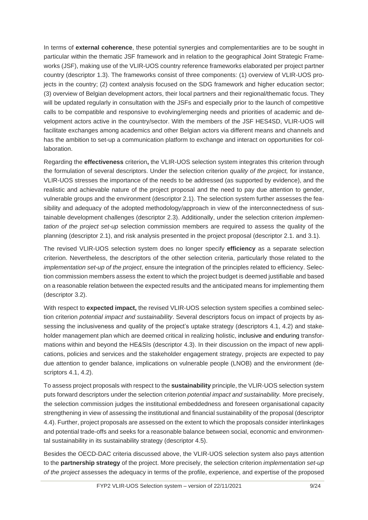In terms of **external coherence**, these potential synergies and complementarities are to be sought in particular within the thematic JSF framework and in relation to the geographical Joint Strategic Frameworks (JSF), making use of the VLIR-UOS country reference frameworks elaborated per project partner country (descriptor 1.3). The frameworks consist of three components: (1) overview of VLIR-UOS projects in the country; (2) context analysis focused on the SDG framework and higher education sector; (3) overview of Belgian development actors, their local partners and their regional/thematic focus. They will be updated regularly in consultation with the JSFs and especially prior to the launch of competitive calls to be compatible and responsive to evolving/emerging needs and priorities of academic and development actors active in the country/sector. With the members of the JSF HES4SD, VLIR-UOS will facilitate exchanges among academics and other Belgian actors via different means and channels and has the ambition to set-up a communication platform to exchange and interact on opportunities for collaboration.

Regarding the **effectiveness** criterion**,** the VLIR-UOS selection system integrates this criterion through the formulation of several descriptors. Under the selection criterion *quality of the project,* for instance, VLIR-UOS stresses the importance of the needs to be addressed (as supported by evidence), and the realistic and achievable nature of the project proposal and the need to pay due attention to gender, vulnerable groups and the environment (descriptor 2.1). The selection system further assesses the feasibility and adequacy of the adopted methodology/approach in view of the interconnectedness of sustainable development challenges (descriptor 2.3). Additionally, under the selection criterion *implementation of the project set-up* selection commission members are required to assess the quality of the planning (descriptor 2.1), and risk analysis presented in the project proposal (descriptor 2.1. and 3.1).

The revised VLIR-UOS selection system does no longer specify **efficiency** as a separate selection criterion. Nevertheless, the descriptors of the other selection criteria, particularly those related to the *implementation set-up of the project*, ensure the integration of the principles related to efficiency. Selection commission members assess the extent to which the project budget is deemed justifiable and based on a reasonable relation between the expected results and the anticipated means for implementing them (descriptor 3.2).

With respect to **expected impact,** the revised VLIR-UOS selection system specifies a combined selection criterion *potential impact and sustainability*. Several descriptors focus on impact of projects by assessing the inclusiveness and quality of the project's uptake strategy (descriptors 4.1, 4.2) and stakeholder management plan which are deemed critical in realizing holistic, inclusive and enduring transformations within and beyond the HE&SIs (descriptor 4.3). In their discussion on the impact of new applications, policies and services and the stakeholder engagement strategy, projects are expected to pay due attention to gender balance, implications on vulnerable people (LNOB) and the environment (descriptors 4.1, 4.2).

To assess project proposals with respect to the **sustainability** principle, the VLIR-UOS selection system puts forward descriptors under the selection criterion *potential impact and sustainability.* More precisely, the selection commission judges the institutional embeddedness and foreseen organisational capacity strengthening in view of assessing the institutional and financial sustainability of the proposal (descriptor 4.4). Further, project proposals are assessed on the extent to which the proposals consider interlinkages and potential trade-offs and seeks for a reasonable balance between social, economic and environmental sustainability in its sustainability strategy (descriptor 4.5).

Besides the OECD-DAC criteria discussed above, the VLIR-UOS selection system also pays attention to the **partnership strategy** of the project. More precisely, the selection criterion *implementation set-up of the project* assesses the adequacy in terms of the profile, experience, and expertise of the proposed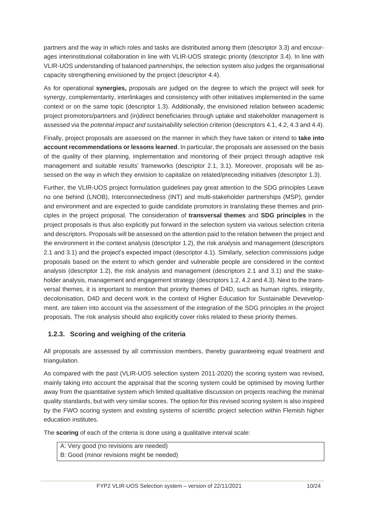partners and the way in which roles and tasks are distributed among them (descriptor 3.3) and encourages interinstitutional collaboration in line with VLIR-UOS strategic priority (descriptor 3.4). In line with VLIR-UOS understanding of balanced partnerships, the selection system also judges the organisational capacity strengthening envisioned by the project (descriptor 4.4).

As for operational **synergies,** proposals are judged on the degree to which the project will seek for synergy, complementarity, interlinkages and consistency with other initiatives implemented in the same context or on the same topic (descriptor 1.3). Additionally, the envisioned relation between academic project promotors/partners and (in)direct beneficiaries through uptake and stakeholder management is assessed via the *potential impact and sustainability* selection criterion (descriptors 4.1, 4.2, 4.3 and 4.4).

Finally, project proposals are assessed on the manner in which they have taken or intend to **take into account recommendations or lessons learned**. In particular, the proposals are assessed on the basis of the quality of their planning, implementation and monitoring of their project through adaptive risk management and suitable results' frameworks (descriptor 2.1, 3.1). Moreover, proposals will be assessed on the way in which they envision to capitalize on related/preceding initiatives (descriptor 1.3).

Further, the VLIR-UOS project formulation guidelines pay great attention to the SDG principles Leave no one behind (LNOB), Interconnectedness (INT) and multi-stakeholder partnerships (MSP), gender and environment and are expected to guide candidate promotors in translating these themes and principles in the project proposal. The consideration of **transversal themes** and **SDG principles** in the project proposals is thus also explicitly put forward in the selection system via various selection criteria and descriptors. Proposals will be assessed on the attention paid to the relation between the project and the environment in the context analysis (descriptor 1.2), the risk analysis and management (descriptors 2.1 and 3.1) and the project's expected impact (descriptor 4.1). Similarly, selection commissions judge proposals based on the extent to which gender and vulnerable people are considered in the context analysis (descriptor 1.2), the risk analysis and management (descriptors 2.1 and 3.1) and the stakeholder analysis, management and engagement strategy (descriptors 1.2, 4.2 and 4.3). Next to the transversal themes, it is important to mention that priority themes of D4D, such as human rights, integrity, decolonisation, D4D and decent work in the context of Higher Education for Sustainable Devevelopment. are taken into account via the assessment of the integration of the SDG principles in the project proposals. The risk analysis should also explicitly cover risks related to these priority themes.

#### **1.2.3. Scoring and weighing of the criteria**

All proposals are assessed by all commission members, thereby guaranteeing equal treatment and triangulation.

As compared with the past (VLIR-UOS selection system 2011-2020) the scoring system was revised, mainly taking into account the appraisal that the scoring system could be optimised by moving further away from the quantitative system which limited qualitative discussion on projects reaching the minimal quality standards, but with very similar scores. The option for this revised scoring system is also inspired by the FWO scoring system and existing systems of scientific project selection within Flemish higher education institutes.

The **scoring** of each of the criteria is done using a qualitative interval scale:

- A: Very good (no revisions are needed)
- B: Good (minor revisions might be needed)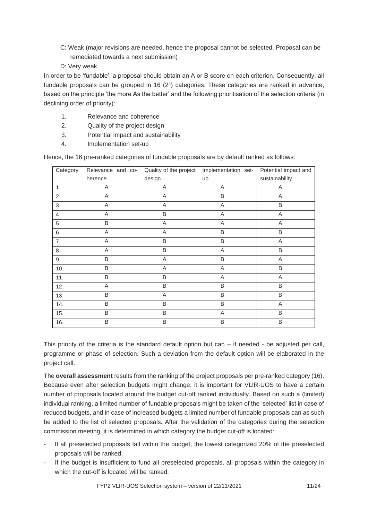C: Weak (major revisions are needed, hence the proposal cannot be selected. Proposal can be remediated towards a next submission)

D: Very weak

In order to be 'fundable', a proposal should obtain an A or B score on each criterion. Consequently, all fundable proposals can be grouped in 16  $(2<sup>4</sup>)$  categories. These categories are ranked in advance, based on the principle 'the more As the better' and the following prioritisation of the selection criteria (in declining order of priority):

- 1. Relevance and coherence
- 2. Quality of the project design
- 3. Potential impact and sustainability
- 4. Implementation set-up

Hence, the 16 pre-ranked categories of fundable proposals are by default ranked as follows:

| Category | Relevance and co- | Quality of the project | Implementation set- | Potential impact and |
|----------|-------------------|------------------------|---------------------|----------------------|
|          | herence           | design                 | up                  | sustainability       |
| 1.       | A                 | A                      | A                   | A                    |
| 2.       | A                 | A                      | $\overline{B}$      | A                    |
| 3.       | Α                 | A                      | Α                   | B                    |
| 4.       | A                 | B                      | A                   | A                    |
| 5.       | $\overline{B}$    | A                      | A                   | A                    |
| 6.       | A                 | A                      | B                   | B                    |
| 7.       | A                 | B                      | B                   | A                    |
| 8.       | Α                 | B                      | Α                   | B                    |
| 9.       | B                 | A                      | B                   | A                    |
| 10.      | B                 | A                      | Α                   | B                    |
| 11.      | B                 | B                      | Α                   | Α                    |
| 12.      | A                 | B                      | B                   | B                    |
| 13.      | B                 | A                      | B                   | $\overline{B}$       |
| 14.      | B                 | B                      | B                   | A                    |
| 15.      | B                 | B                      | A                   | B                    |
| 16.      | B                 | B                      | B                   | B                    |

This priority of the criteria is the standard default option but can – if needed - be adjusted per call, programme or phase of selection. Such a deviation from the default option will be elaborated in the project call.

The **overall assessment** results from the ranking of the project proposals per pre-ranked category (16). Because even after selection budgets might change, it is important for VLIR-UOS to have a certain number of proposals located around the budget cut-off ranked individually. Based on such a (limited) individual ranking, a limited number of fundable proposals might be taken of the 'selected' list in case of reduced budgets, and in case of increased budgets a limited number of fundable proposals can as such be added to the list of selected proposals. After the validation of the categories during the selection commission meeting, it is determined in which category the budget cut-off is located:

- If all preselected proposals fall within the budget, the lowest categorized 20% of the preselected proposals will be ranked.
- If the budget is insufficient to fund all preselected proposals, all proposals within the category in which the cut-off is located will be ranked.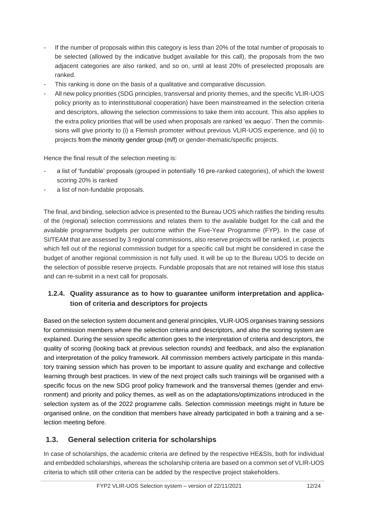- If the number of proposals within this category is less than 20% of the total number of proposals to be selected (allowed by the indicative budget available for this call), the proposals from the two adjacent categories are also ranked, and so on, until at least 20% of preselected proposals are ranked.
- This ranking is done on the basis of a qualitative and comparative discussion.
- All new policy priorities (SDG principles, transversal and priority themes, and the specific VLIR-UOS policy priority as to interinstitutional cooperation) have been mainstreamed in the selection criteria and descriptors, allowing the selection commissions to take them into account. This also applies to the extra policy priorities that will be used when proposals are ranked 'ex aequo'. Then the commissions will give priority to (i) a Flemish promoter without previous VLIR-UOS experience, and (ii) to projects from the minority gender group (m/f) or gender-thematic/specific projects.

Hence the final result of the selection meeting is:

- a list of 'fundable' proposals (grouped in potentially 16 pre-ranked categories), of which the lowest scoring 20% is ranked
- a list of non-fundable proposals.

The final, and binding, selection advice is presented to the Bureau UOS which ratifies the binding results of the (regional) selection commissions and relates them to the available budget for the call and the available programme budgets per outcome within the Five-Year Programme (FYP). In the case of SI/TEAM that are assessed by 3 regional commissions, also reserve projects will be ranked, i.e. projects which fell out of the regional commission budget for a specific call but might be considered in case the budget of another regional commission is not fully used. It will be up to the Bureau UOS to decide on the selection of possible reserve projects. Fundable proposals that are not retained will lose this status and can re-submit in a next call for proposals.

#### **1.2.4. Quality assurance as to how to guarantee uniform interpretation and application of criteria and descriptors for projects**

Based on the selection system document and general principles, VLIR-UOS organises training sessions for commission members where the selection criteria and descriptors, and also the scoring system are explained. During the session specific attention goes to the interpretation of criteria and descriptors, the quality of scoring (looking back at previous selection rounds) and feedback, and also the explanation and interpretation of the policy framework. All commission members actively participate in this mandatory training session which has proven to be important to assure quality and exchange and collective learning through best practices. In view of the next project calls such trainings will be organised with a specific focus on the new SDG proof policy framework and the transversal themes (gender and environment) and priority and policy themes, as well as on the adaptations/optimizations introduced in the selection system as of the 2022 programme calls. Selection commission meetings might in future be organised online, on the condition that members have already participated in both a training and a selection meeting before.

#### <span id="page-13-0"></span>**1.3. General selection criteria for scholarships**

In case of scholarships, the academic criteria are defined by the respective HE&SIs, both for individual and embedded scholarships, whereas the scholarship criteria are based on a common set of VLIR-UOS criteria to which still other criteria can be added by the respective project stakeholders.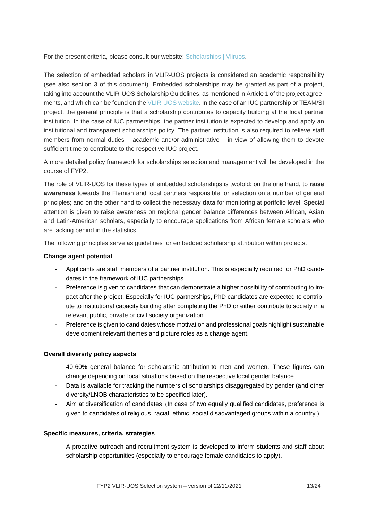For the present criteria, please consult our website: [Scholarships | Vliruos.](https://www.vliruos.be/en/scholarships/6)

The selection of embedded scholars in VLIR-UOS projects is considered an academic responsibility (see also section 3 of this document). Embedded scholarships may be granted as part of a project, taking into account the VLIR-UOS Scholarship Guidelines, as mentioned in Article 1 of the project agreements, and which can be found on th[e VLIR-UOS website.](https://www.vliruos.be/en/documents/guidelines_and_forms) In the case of an IUC partnership or TEAM/SI project, the general principle is that a scholarship contributes to capacity building at the local partner institution. In the case of IUC partnerships, the partner institution is expected to develop and apply an institutional and transparent scholarships policy. The partner institution is also required to relieve staff members from normal duties – academic and/or administrative – in view of allowing them to devote sufficient time to contribute to the respective IUC project.

A more detailed policy framework for scholarships selection and management will be developed in the course of FYP2.

The role of VLIR-UOS for these types of embedded scholarships is twofold: on the one hand, to **raise awareness** towards the Flemish and local partners responsible for selection on a number of general principles; and on the other hand to collect the necessary **data** for monitoring at portfolio level. Special attention is given to raise awareness on regional gender balance differences between African, Asian and Latin-American scholars, especially to encourage applications from African female scholars who are lacking behind in the statistics.

The following principles serve as guidelines for embedded scholarship attribution within projects.

#### **Change agent potential**

- Applicants are staff members of a partner institution. This is especially required for PhD candidates in the framework of IUC partnerships.
- Preference is given to candidates that can demonstrate a higher possibility of contributing to impact after the project. Especially for IUC partnerships, PhD candidates are expected to contribute to institutional capacity building after completing the PhD or either contribute to society in a relevant public, private or civil society organization.
- Preference is given to candidates whose motivation and professional goals highlight sustainable development relevant themes and picture roles as a change agent.

#### **Overall diversity policy aspects**

- 40-60% general balance for scholarship attribution to men and women. These figures can change depending on local situations based on the respective local gender balance.
- Data is available for tracking the numbers of scholarships disaggregated by gender (and other diversity/LNOB characteristics to be specified later).
- Aim at diversification of candidates (In case of two equally qualified candidates, preference is given to candidates of religious, racial, ethnic, social disadvantaged groups within a country )

#### **Specific measures, criteria, strategies**

A proactive outreach and recruitment system is developed to inform students and staff about scholarship opportunities (especially to encourage female candidates to apply).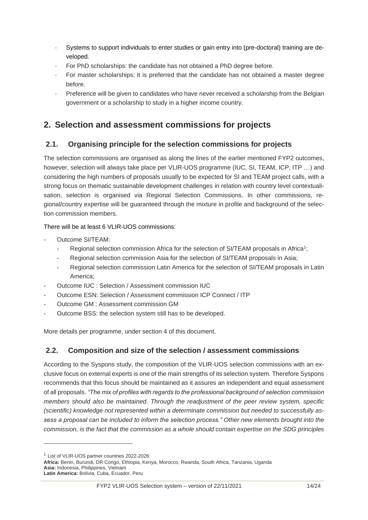- Systems to support individuals to enter studies or gain entry into (pre-doctoral) training are developed.
- For PhD scholarships: the candidate has not obtained a PhD degree before.
- For master scholarships: it is preferred that the candidate has not obtained a master degree before.
- Preference will be given to candidates who have never received a scholarship from the Belgian government or a scholarship to study in a higher income country.

## <span id="page-15-0"></span>**2. Selection and assessment commissions for projects**

#### <span id="page-15-1"></span>**2.1. Organising principle for the selection commissions for projects**

The selection commissions are organised as along the lines of the earlier mentioned FYP2 outcomes, however, selection will always take place per VLIR-UOS programme (IUC, SI, TEAM, ICP, ITP …) and considering the high numbers of proposals usually to be expected for SI and TEAM project calls, with a strong focus on thematic sustainable development challenges in relation with country level contextualisation, selection is organised via Regional Selection Commissions. In other commissions, regional/country expertise will be guaranteed through the mixture in profile and background of the selection commission members.

#### There will be at least 6 VLIR-UOS commissions:

- Outcome SI/TEAM:
	- Regional selection commission Africa for the selection of SI/TEAM proposals in Africa<sup>1</sup>;
	- Regional selection commission Asia for the selection of SI/TEAM proposals in Asia;
	- Regional selection commission Latin America for the selection of SI/TEAM proposals in Latin America;
- Outcome IUC : Selection / Assessment commission IUC
- Outcome ESN: Selection / Assessment commission ICP Connect / ITP
- Outcome GM : Assessment commission GM
- Outcome BSS: the selection system still has to be developed.

More details per programme, under section 4 of this document.

#### <span id="page-15-2"></span>**2.2. Composition and size of the selection / assessment commissions**

According to the Syspons study, the composition of the VLIR-UOS selection commissions with an exclusive focus on external experts is one of the main strengths of its selection system. Therefore Syspons recommends that this focus should be maintained as it assures an independent and equal assessment of all proposals. *"The mix of profiles with regards to the professional background of selection commission members should also be maintained. Through the readjustment of the peer review system, specific (scientific) knowledge not represented within a determinate commission but needed to successfully assess a proposal can be included to inform the selection process." Other new elements brought into the commission, is the fact that the commission as a whole should contain expertise on the SDG principles* 

<sup>1</sup> List of VLIR-UOS partner countries 2022-2026:

**Africa:** Benin, Burundi, DR Congo, Ethiopia, Kenya, Morocco, Rwanda, South Africa, Tanzania, Uganda **Asia:** Indonesia, Philippines, Vietnam **Latin America:** Bolivia, Cuba, Ecuador, Peru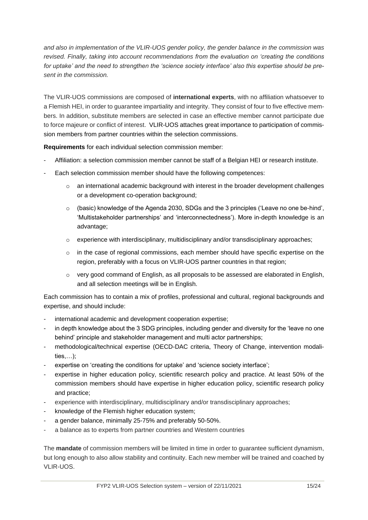*and also in implementation of the VLIR-UOS gender policy, the gender balance in the commission was revised. Finally, taking into account recommendations from the evaluation on 'creating the conditions for uptake' and the need to strengthen the 'science society interface' also this expertise should be present in the commission.*

The VLIR-UOS commissions are composed of **international experts**, with no affiliation whatsoever to a Flemish HEI, in order to guarantee impartiality and integrity. They consist of four to five effective members. In addition, substitute members are selected in case an effective member cannot participate due to force majeure or conflict of interest. VLIR-UOS attaches great importance to participation of commission members from partner countries within the selection commissions.

**Requirements** for each individual selection commission member:

- Affiliation: a selection commission member cannot be staff of a Belgian HEI or research institute.
- Each selection commission member should have the following competences:
	- o an international academic background with interest in the broader development challenges or a development co-operation background;
	- $\circ$  (basic) knowledge of the Agenda 2030, SDGs and the 3 principles ('Leave no one be-hind', 'Multistakeholder partnerships' and 'interconnectedness'). More in-depth knowledge is an advantage;
	- o experience with interdisciplinary, multidisciplinary and/or transdisciplinary approaches;
	- o in the case of regional commissions, each member should have specific expertise on the region, preferably with a focus on VLIR-UOS partner countries in that region;
	- $\circ$  very good command of English, as all proposals to be assessed are elaborated in English, and all selection meetings will be in English.

Each commission has to contain a mix of profiles, professional and cultural, regional backgrounds and expertise, and should include:

- international academic and development cooperation expertise;
- in depth knowledge about the 3 SDG principles, including gender and diversity for the 'leave no one behind' principle and stakeholder management and multi actor partnerships;
- methodological/technical expertise (OECD-DAC criteria, Theory of Change, intervention modalities,…);
- expertise on 'creating the conditions for uptake' and 'science society interface';
- expertise in higher education policy, scientific research policy and practice. At least 50% of the commission members should have expertise in higher education policy, scientific research policy and practice;
- experience with interdisciplinary, multidisciplinary and/or transdisciplinary approaches;
- knowledge of the Flemish higher education system;
- a gender balance, minimally 25-75% and preferably 50-50%.
- a balance as to experts from partner countries and Western countries

The **mandate** of commission members will be limited in time in order to guarantee sufficient dynamism, but long enough to also allow stability and continuity. Each new member will be trained and coached by VLIR-UOS.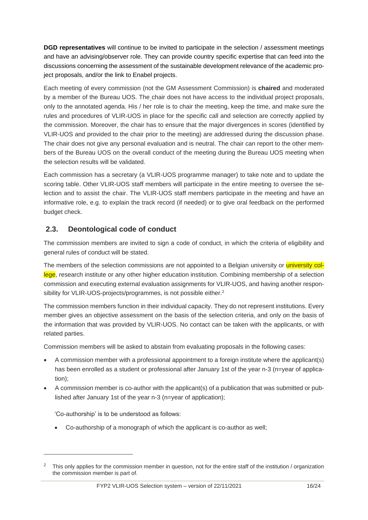**DGD representatives** will continue to be invited to participate in the selection / assessment meetings and have an advising/observer role. They can provide country specific expertise that can feed into the discussions concerning the assessment of the sustainable development relevance of the academic project proposals, and/or the link to Enabel projects.

Each meeting of every commission (not the GM Assessment Commission) is **chaired** and moderated by a member of the Bureau UOS. The chair does not have access to the individual project proposals, only to the annotated agenda. His / her role is to chair the meeting, keep the time, and make sure the rules and procedures of VLIR-UOS in place for the specific call and selection are correctly applied by the commission. Moreover, the chair has to ensure that the major divergences in scores (identified by VLIR-UOS and provided to the chair prior to the meeting) are addressed during the discussion phase. The chair does not give any personal evaluation and is neutral. The chair can report to the other members of the Bureau UOS on the overall conduct of the meeting during the Bureau UOS meeting when the selection results will be validated.

Each commission has a secretary (a VLIR-UOS programme manager) to take note and to update the scoring table. Other VLIR-UOS staff members will participate in the entire meeting to oversee the selection and to assist the chair. The VLIR-UOS staff members participate in the meeting and have an informative role, e.g. to explain the track record (if needed) or to give oral feedback on the performed budget check.

#### <span id="page-17-0"></span>**2.3. Deontological code of conduct**

The commission members are invited to sign a code of conduct, in which the criteria of eligibility and general rules of conduct will be stated.

The members of the selection commissions are not appointed to a Belgian university or university college, research institute or any other higher education institution. Combining membership of a selection commission and executing external evaluation assignments for VLIR-UOS, and having another responsibility for VLIR-UOS-projects/programmes, is not possible either.<sup>2</sup>

The commission members function in their individual capacity. They do not represent institutions. Every member gives an objective assessment on the basis of the selection criteria, and only on the basis of the information that was provided by VLIR-UOS. No contact can be taken with the applicants, or with related parties.

Commission members will be asked to abstain from evaluating proposals in the following cases:

- A commission member with a professional appointment to a foreign institute where the applicant(s) has been enrolled as a student or professional after January 1st of the year n-3 (n=year of application);
- A commission member is co-author with the applicant(s) of a publication that was submitted or published after January 1st of the year n-3 (n=year of application);

'Co-authorship' is to be understood as follows:

• Co-authorship of a monograph of which the applicant is co-author as well;

<sup>&</sup>lt;sup>2</sup> This only applies for the commission member in question, not for the entire staff of the institution / organization the commission member is part of.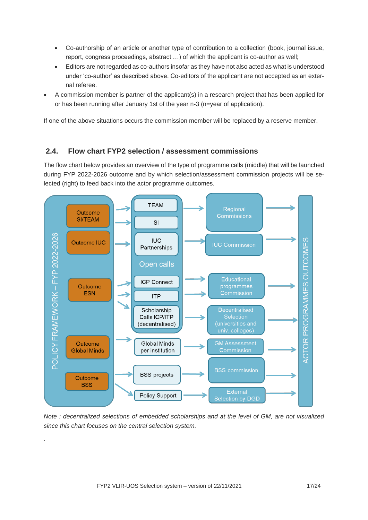- Co-authorship of an article or another type of contribution to a collection (book, journal issue, report, congress proceedings, abstract …) of which the applicant is co-author as well;
- Editors are not regarded as co-authors insofar as they have not also acted as what is understood under 'co-author' as described above. Co-editors of the applicant are not accepted as an external referee.
- A commission member is partner of the applicant(s) in a research project that has been applied for or has been running after January 1st of the year n-3 (n=year of application).

If one of the above situations occurs the commission member will be replaced by a reserve member.

#### <span id="page-18-0"></span>**2.4. Flow chart FYP2 selection / assessment commissions**

The flow chart below provides an overview of the type of programme calls (middle) that will be launched during FYP 2022-2026 outcome and by which selection/assessment commission projects will be selected (right) to feed back into the actor programme outcomes.



*Note : decentralized selections of embedded scholarships and at the level of GM, are not visualized since this chart focuses on the central selection system.*

.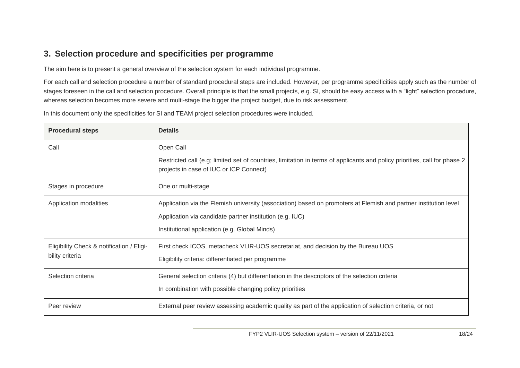## **3. Selection procedure and specificities per programme**

The aim here is to present a general overview of the selection system for each individual programme.

For each call and selection procedure a number of standard procedural steps are included. However, per programme specificities apply such as the number of stages foreseen in the call and selection procedure. Overall principle is that the small projects, e.g. SI, should be easy access with a "light" selection procedure, whereas selection becomes more severe and multi-stage the bigger the project budget, due to risk assessment.

In this document only the specificities for SI and TEAM project selection procedures were included.

<span id="page-19-0"></span>

| <b>Procedural steps</b>                   | <b>Details</b>                                                                                                                                                       |
|-------------------------------------------|----------------------------------------------------------------------------------------------------------------------------------------------------------------------|
| Call                                      | Open Call                                                                                                                                                            |
|                                           | Restricted call (e.g; limited set of countries, limitation in terms of applicants and policy priorities, call for phase 2<br>projects in case of IUC or ICP Connect) |
| Stages in procedure                       | One or multi-stage                                                                                                                                                   |
| Application modalities                    | Application via the Flemish university (association) based on promoters at Flemish and partner institution level                                                     |
|                                           | Application via candidate partner institution (e.g. IUC)                                                                                                             |
|                                           | Institutional application (e.g. Global Minds)                                                                                                                        |
| Eligibility Check & notification / Eligi- | First check ICOS, metacheck VLIR-UOS secretariat, and decision by the Bureau UOS                                                                                     |
| bility criteria                           | Eligibility criteria: differentiated per programme                                                                                                                   |
| Selection criteria                        | General selection criteria (4) but differentiation in the descriptors of the selection criteria                                                                      |
|                                           | In combination with possible changing policy priorities                                                                                                              |
| Peer review                               | External peer review assessing academic quality as part of the application of selection criteria, or not                                                             |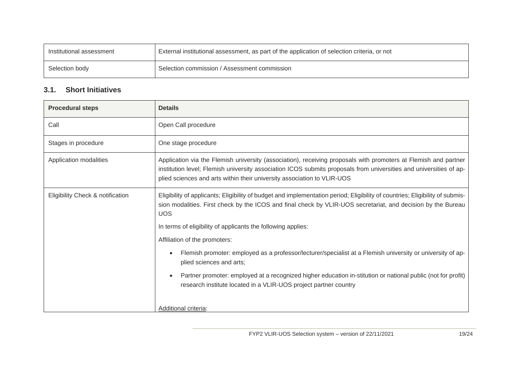| Institutional assessment | External institutional assessment, as part of the application of selection criteria, or not |
|--------------------------|---------------------------------------------------------------------------------------------|
| Selection body           | Selection commission / Assessment commission                                                |

#### **3.1. Short Initiatives**

<span id="page-20-0"></span>

| <b>Procedural steps</b>          | <b>Details</b>                                                                                                                                                                                                                                                                                                   |
|----------------------------------|------------------------------------------------------------------------------------------------------------------------------------------------------------------------------------------------------------------------------------------------------------------------------------------------------------------|
| Call                             | Open Call procedure                                                                                                                                                                                                                                                                                              |
| Stages in procedure              | One stage procedure                                                                                                                                                                                                                                                                                              |
| Application modalities           | Application via the Flemish university (association), receiving proposals with promoters at Flemish and partner<br>institution level; Flemish university association ICOS submits proposals from universities and universities of ap-<br>plied sciences and arts within their university association to VLIR-UOS |
| Eligibility Check & notification | Eligibility of applicants; Eligibility of budget and implementation period; Eligibility of countries; Eligibility of submis-<br>sion modalities. First check by the ICOS and final check by VLIR-UOS secretariat, and decision by the Bureau<br><b>UOS</b>                                                       |
|                                  | In terms of eligibility of applicants the following applies:                                                                                                                                                                                                                                                     |
|                                  | Affiliation of the promoters:                                                                                                                                                                                                                                                                                    |
|                                  | Flemish promoter: employed as a professor/lecturer/specialist at a Flemish university or university of ap-<br>plied sciences and arts;                                                                                                                                                                           |
|                                  | Partner promoter: employed at a recognized higher education in-stitution or national public (not for profit)<br>research institute located in a VLIR-UOS project partner country                                                                                                                                 |
|                                  | Additional criteria:                                                                                                                                                                                                                                                                                             |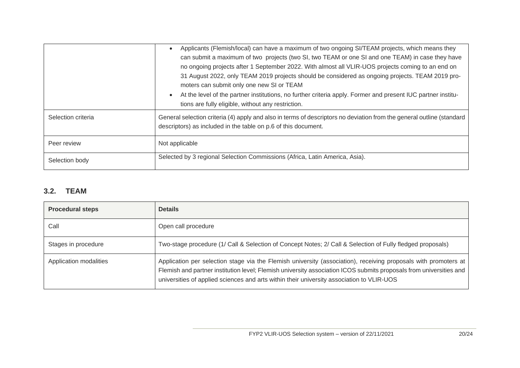|                    | Applicants (Flemish/local) can have a maximum of two ongoing SI/TEAM projects, which means they<br>can submit a maximum of two projects (two SI, two TEAM or one SI and one TEAM) in case they have<br>no ongoing projects after 1 September 2022. With almost all VLIR-UOS projects coming to an end on<br>31 August 2022, only TEAM 2019 projects should be considered as ongoing projects. TEAM 2019 pro-<br>moters can submit only one new SI or TEAM<br>At the level of the partner institutions, no further criteria apply. Former and present IUC partner institu-<br>$\bullet$<br>tions are fully eligible, without any restriction. |
|--------------------|----------------------------------------------------------------------------------------------------------------------------------------------------------------------------------------------------------------------------------------------------------------------------------------------------------------------------------------------------------------------------------------------------------------------------------------------------------------------------------------------------------------------------------------------------------------------------------------------------------------------------------------------|
| Selection criteria | General selection criteria (4) apply and also in terms of descriptors no deviation from the general outline (standard<br>descriptors) as included in the table on p.6 of this document.                                                                                                                                                                                                                                                                                                                                                                                                                                                      |
| Peer review        | Not applicable                                                                                                                                                                                                                                                                                                                                                                                                                                                                                                                                                                                                                               |
| Selection body     | Selected by 3 regional Selection Commissions (Africa, Latin America, Asia).                                                                                                                                                                                                                                                                                                                                                                                                                                                                                                                                                                  |

#### **3.2. TEAM**

<span id="page-21-0"></span>

| <b>Procedural steps</b> | <b>Details</b>                                                                                                                                                                                                                                                                                                                     |
|-------------------------|------------------------------------------------------------------------------------------------------------------------------------------------------------------------------------------------------------------------------------------------------------------------------------------------------------------------------------|
| Call                    | Open call procedure                                                                                                                                                                                                                                                                                                                |
| Stages in procedure     | Two-stage procedure (1/ Call & Selection of Concept Notes; 2/ Call & Selection of Fully fledged proposals)                                                                                                                                                                                                                         |
| Application modalities  | Application per selection stage via the Flemish university (association), receiving proposals with promoters at<br>Flemish and partner institution level; Flemish university association ICOS submits proposals from universities and<br>universities of applied sciences and arts within their university association to VLIR-UOS |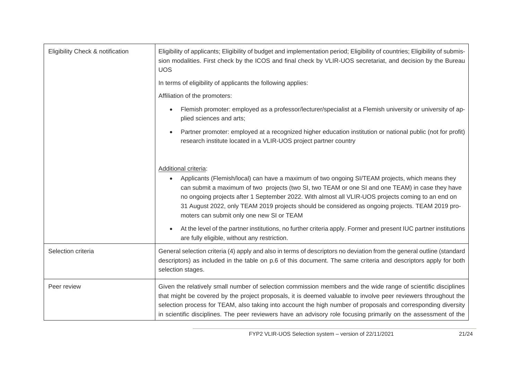| Eligibility Check & notification | Eligibility of applicants; Eligibility of budget and implementation period; Eligibility of countries; Eligibility of submis-<br>sion modalities. First check by the ICOS and final check by VLIR-UOS secretariat, and decision by the Bureau<br><b>UOS</b>                                                                                                                                                                                                           |  |
|----------------------------------|----------------------------------------------------------------------------------------------------------------------------------------------------------------------------------------------------------------------------------------------------------------------------------------------------------------------------------------------------------------------------------------------------------------------------------------------------------------------|--|
|                                  | In terms of eligibility of applicants the following applies:                                                                                                                                                                                                                                                                                                                                                                                                         |  |
|                                  | Affiliation of the promoters:                                                                                                                                                                                                                                                                                                                                                                                                                                        |  |
|                                  | Flemish promoter: employed as a professor/lecturer/specialist at a Flemish university or university of ap-<br>$\bullet$<br>plied sciences and arts;                                                                                                                                                                                                                                                                                                                  |  |
|                                  | Partner promoter: employed at a recognized higher education institution or national public (not for profit)<br>research institute located in a VLIR-UOS project partner country                                                                                                                                                                                                                                                                                      |  |
|                                  | Additional criteria:                                                                                                                                                                                                                                                                                                                                                                                                                                                 |  |
|                                  | Applicants (Flemish/local) can have a maximum of two ongoing SI/TEAM projects, which means they<br>can submit a maximum of two projects (two SI, two TEAM or one SI and one TEAM) in case they have<br>no ongoing projects after 1 September 2022. With almost all VLIR-UOS projects coming to an end on<br>31 August 2022, only TEAM 2019 projects should be considered as ongoing projects. TEAM 2019 pro-<br>moters can submit only one new SI or TEAM            |  |
|                                  | At the level of the partner institutions, no further criteria apply. Former and present IUC partner institutions<br>are fully eligible, without any restriction.                                                                                                                                                                                                                                                                                                     |  |
| Selection criteria               | General selection criteria (4) apply and also in terms of descriptors no deviation from the general outline (standard<br>descriptors) as included in the table on p.6 of this document. The same criteria and descriptors apply for both<br>selection stages.                                                                                                                                                                                                        |  |
| Peer review                      | Given the relatively small number of selection commission members and the wide range of scientific disciplines<br>that might be covered by the project proposals, it is deemed valuable to involve peer reviewers throughout the<br>selection process for TEAM, also taking into account the high number of proposals and corresponding diversity<br>in scientific disciplines. The peer reviewers have an advisory role focusing primarily on the assessment of the |  |